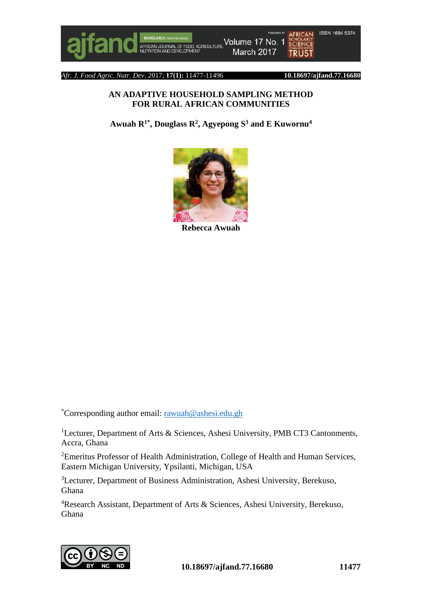#### *Afr. J. Food Agric. Nutr. Dev*. 2017; **17(1):** 11477-11496 **10.18697/ajfand.77.16680**

#### **AN ADAPTIVE HOUSEHOLD SAMPLING METHOD FOR RURAL AFRICAN COMMUNITIES**

**Awuah R1\*, Douglass R<sup>2</sup> , Agyepong S<sup>3</sup> and E Kuwornu<sup>4</sup>**



**Rebecca Awuah**

\*Corresponding author email: [rawuah@ashesi.edu.gh](mailto:rawuah@ashesi.edu.gh)

<sup>1</sup>Lecturer, Department of Arts & Sciences, Ashesi University, PMB CT3 Cantonments, Accra, Ghana

<sup>2</sup>Emeritus Professor of Health Administration, College of Health and Human Services, Eastern Michigan University, Ypsilanti, Michigan, USA

<sup>3</sup>Lecturer, Department of Business Administration, Ashesi University, Berekuso, Ghana

<sup>4</sup>Research Assistant, Department of Arts & Sciences, Ashesi University, Berekuso, Ghana

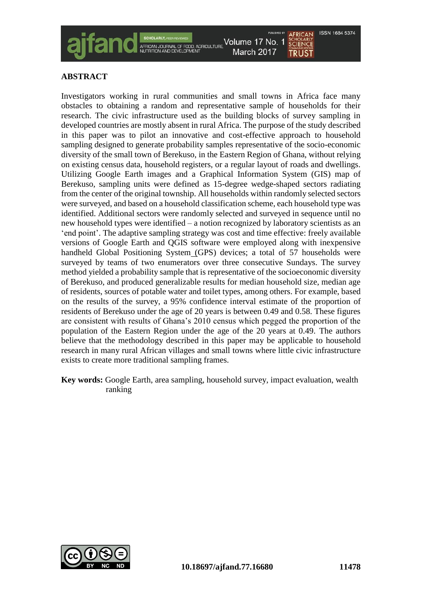

# **ABSTRACT**

Investigators working in rural communities and small towns in Africa face many obstacles to obtaining a random and representative sample of households for their research. The civic infrastructure used as the building blocks of survey sampling in developed countries are mostly absent in rural Africa. The purpose of the study described in this paper was to pilot an innovative and cost-effective approach to household sampling designed to generate probability samples representative of the socio-economic diversity of the small town of Berekuso, in the Eastern Region of Ghana, without relying on existing census data, household registers, or a regular layout of roads and dwellings. Utilizing Google Earth images and a Graphical Information System (GIS) map of Berekuso, sampling units were defined as 15-degree wedge-shaped sectors radiating from the center of the original township. All households within randomly selected sectors were surveyed, and based on a household classification scheme, each household type was identified. Additional sectors were randomly selected and surveyed in sequence until no new household types were identified – a notion recognized by laboratory scientists as an 'end point'. The adaptive sampling strategy was cost and time effective: freely available versions of Google Earth and QGIS software were employed along with inexpensive handheld Global Positioning System (GPS) devices; a total of 57 households were surveyed by teams of two enumerators over three consecutive Sundays. The survey method yielded a probability sample that is representative of the socioeconomic diversity of Berekuso, and produced generalizable results for median household size, median age of residents, sources of potable water and toilet types, among others. For example, based on the results of the survey, a 95% confidence interval estimate of the proportion of residents of Berekuso under the age of 20 years is between 0.49 and 0.58. These figures are consistent with results of Ghana's 2010 census which pegged the proportion of the population of the Eastern Region under the age of the 20 years at 0.49. The authors believe that the methodology described in this paper may be applicable to household research in many rural African villages and small towns where little civic infrastructure exists to create more traditional sampling frames.

**Key words:** Google Earth, area sampling, household survey, impact evaluation, wealth ranking

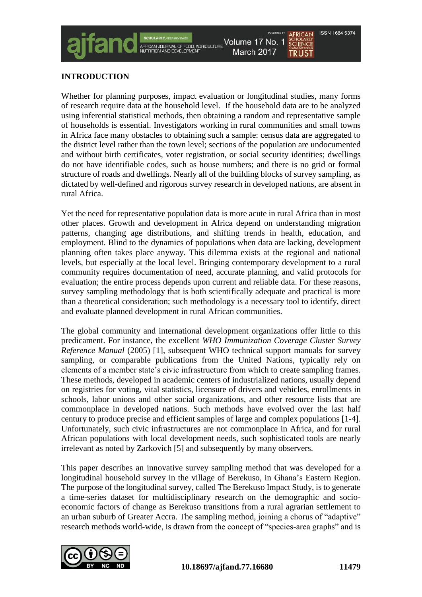# **INTRODUCTION**

Whether for planning purposes, impact evaluation or longitudinal studies, many forms of research require data at the household level. If the household data are to be analyzed using inferential statistical methods, then obtaining a random and representative sample of households is essential. Investigators working in rural communities and small towns in Africa face many obstacles to obtaining such a sample: census data are aggregated to the district level rather than the town level; sections of the population are undocumented and without birth certificates, voter registration, or social security identities; dwellings do not have identifiable codes, such as house numbers; and there is no grid or formal structure of roads and dwellings. Nearly all of the building blocks of survey sampling, as dictated by well-defined and rigorous survey research in developed nations, are absent in rural Africa.

Yet the need for representative population data is more acute in rural Africa than in most other places. Growth and development in Africa depend on understanding migration patterns, changing age distributions, and shifting trends in health, education, and employment. Blind to the dynamics of populations when data are lacking, development planning often takes place anyway. This dilemma exists at the regional and national levels, but especially at the local level. Bringing contemporary development to a rural community requires documentation of need, accurate planning, and valid protocols for evaluation; the entire process depends upon current and reliable data. For these reasons, survey sampling methodology that is both scientifically adequate and practical is more than a theoretical consideration; such methodology is a necessary tool to identify, direct and evaluate planned development in rural African communities.

The global community and international development organizations offer little to this predicament. For instance, the excellent *WHO Immunization Coverage Cluster Survey Reference Manual* (2005) [1], subsequent WHO technical support manuals for survey sampling, or comparable publications from the United Nations, typically rely on elements of a member state's civic infrastructure from which to create sampling frames. These methods, developed in academic centers of industrialized nations, usually depend on registries for voting, vital statistics, licensure of drivers and vehicles, enrollments in schools, labor unions and other social organizations, and other resource lists that are commonplace in developed nations. Such methods have evolved over the last half century to produce precise and efficient samples of large and complex populations [1-4]. Unfortunately, such civic infrastructures are not commonplace in Africa, and for rural African populations with local development needs, such sophisticated tools are nearly irrelevant as noted by Zarkovich [5] and subsequently by many observers.

This paper describes an innovative survey sampling method that was developed for a longitudinal household survey in the village of Berekuso, in Ghana's Eastern Region. The purpose of the longitudinal survey, called The Berekuso Impact Study, is to generate a time-series dataset for multidisciplinary research on the demographic and socioeconomic factors of change as Berekuso transitions from a rural agrarian settlement to an urban suburb of Greater Accra. The sampling method, joining a chorus of "adaptive" research methods world-wide, is drawn from the concept of "species-area graphs" and is

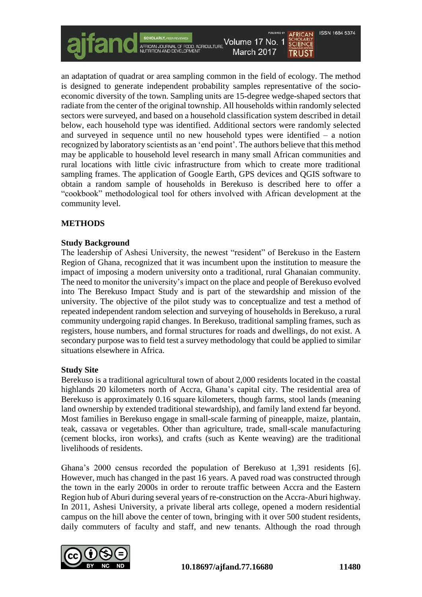an adaptation of quadrat or area sampling common in the field of ecology. The method is designed to generate independent probability samples representative of the socioeconomic diversity of the town. Sampling units are 15-degree wedge-shaped sectors that radiate from the center of the original township. All households within randomly selected sectors were surveyed, and based on a household classification system described in detail below, each household type was identified. Additional sectors were randomly selected and surveyed in sequence until no new household types were identified – a notion recognized by laboratory scientists as an 'end point'. The authors believe that this method may be applicable to household level research in many small African communities and rural locations with little civic infrastructure from which to create more traditional sampling frames. The application of Google Earth, GPS devices and QGIS software to obtain a random sample of households in Berekuso is described here to offer a "cookbook" methodological tool for others involved with African development at the community level.

# **METHODS**

# **Study Background**

The leadership of Ashesi University, the newest "resident" of Berekuso in the Eastern Region of Ghana, recognized that it was incumbent upon the institution to measure the impact of imposing a modern university onto a traditional, rural Ghanaian community. The need to monitor the university's impact on the place and people of Berekuso evolved into The Berekuso Impact Study and is part of the stewardship and mission of the university. The objective of the pilot study was to conceptualize and test a method of repeated independent random selection and surveying of households in Berekuso, a rural community undergoing rapid changes. In Berekuso, traditional sampling frames, such as registers, house numbers, and formal structures for roads and dwellings, do not exist. A secondary purpose was to field test a survey methodology that could be applied to similar situations elsewhere in Africa.

# **Study Site**

Berekuso is a traditional agricultural town of about 2,000 residents located in the coastal highlands 20 kilometers north of Accra, Ghana's capital city. The residential area of Berekuso is approximately 0.16 square kilometers, though farms, stool lands (meaning land ownership by extended traditional stewardship), and family land extend far beyond. Most families in Berekuso engage in small-scale farming of pineapple, maize, plantain, teak, cassava or vegetables. Other than agriculture, trade, small-scale manufacturing (cement blocks, iron works), and crafts (such as Kente weaving) are the traditional livelihoods of residents.

Ghana's 2000 census recorded the population of Berekuso at 1,391 residents [6]. However, much has changed in the past 16 years. A paved road was constructed through the town in the early 2000s in order to reroute traffic between Accra and the Eastern Region hub of Aburi during several years of re-construction on the Accra-Aburi highway. In 2011, Ashesi University, a private liberal arts college, opened a modern residential campus on the hill above the center of town, bringing with it over 500 student residents, daily commuters of faculty and staff, and new tenants. Although the road through

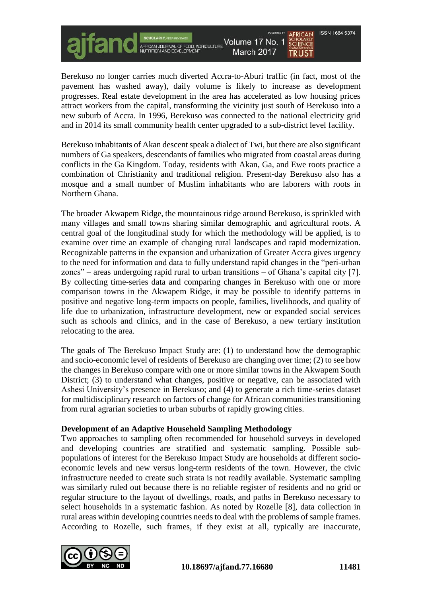**ISSN 1684 5374** Volume 17 No. 1 SCHOLARLY, PEER REVIEWED<br>AFRICAN JOURNAL OF FOOD, AGRICULTURE<br>NUTRITION AND DEVELOPMENT **SCHOLARLY** March 2017 **TRUST** 

Berekuso no longer carries much diverted Accra-to-Aburi traffic (in fact, most of the pavement has washed away), daily volume is likely to increase as development progresses. Real estate development in the area has accelerated as low housing prices attract workers from the capital, transforming the vicinity just south of Berekuso into a new suburb of Accra. In 1996, Berekuso was connected to the national electricity grid and in 2014 its small community health center upgraded to a sub-district level facility.

Berekuso inhabitants of Akan descent speak a dialect of Twi, but there are also significant numbers of Ga speakers, descendants of families who migrated from coastal areas during conflicts in the Ga Kingdom. Today, residents with Akan, Ga, and Ewe roots practice a combination of Christianity and traditional religion. Present-day Berekuso also has a mosque and a small number of Muslim inhabitants who are laborers with roots in Northern Ghana.

The broader Akwapem Ridge, the mountainous ridge around Berekuso, is sprinkled with many villages and small towns sharing similar demographic and agricultural roots. A central goal of the longitudinal study for which the methodology will be applied, is to examine over time an example of changing rural landscapes and rapid modernization. Recognizable patterns in the expansion and urbanization of Greater Accra gives urgency to the need for information and data to fully understand rapid changes in the "peri-urban zones" – areas undergoing rapid rural to urban transitions – of Ghana's capital city [7]. By collecting time-series data and comparing changes in Berekuso with one or more comparison towns in the Akwapem Ridge, it may be possible to identify patterns in positive and negative long-term impacts on people, families, livelihoods, and quality of life due to urbanization, infrastructure development, new or expanded social services such as schools and clinics, and in the case of Berekuso, a new tertiary institution relocating to the area.

The goals of The Berekuso Impact Study are: (1) to understand how the demographic and socio-economic level of residents of Berekuso are changing over time; (2) to see how the changes in Berekuso compare with one or more similar towns in the Akwapem South District; (3) to understand what changes, positive or negative, can be associated with Ashesi University's presence in Berekuso; and (4) to generate a rich time-series dataset for multidisciplinary research on factors of change for African communities transitioning from rural agrarian societies to urban suburbs of rapidly growing cities.

#### **Development of an Adaptive Household Sampling Methodology**

Two approaches to sampling often recommended for household surveys in developed and developing countries are stratified and systematic sampling. Possible subpopulations of interest for the Berekuso Impact Study are households at different socioeconomic levels and new versus long-term residents of the town. However, the civic infrastructure needed to create such strata is not readily available. Systematic sampling was similarly ruled out because there is no reliable register of residents and no grid or regular structure to the layout of dwellings, roads, and paths in Berekuso necessary to select households in a systematic fashion. As noted by Rozelle [8], data collection in rural areas within developing countries needs to deal with the problems of sample frames. According to Rozelle, such frames, if they exist at all, typically are inaccurate,

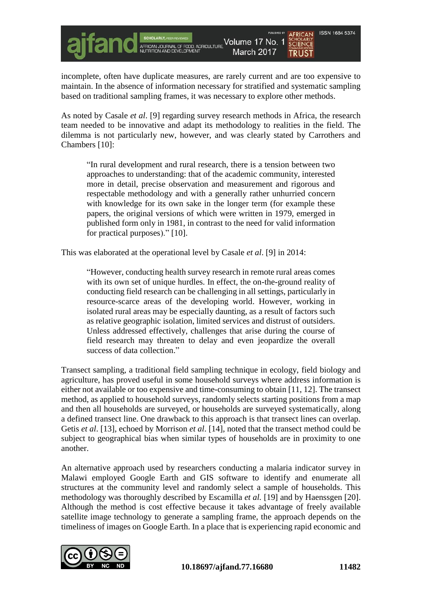incomplete, often have duplicate measures, are rarely current and are too expensive to maintain. In the absence of information necessary for stratified and systematic sampling based on traditional sampling frames, it was necessary to explore other methods.

SCHOLARLY, PEER REVIEWED<br>AFRICAN JOURNAL OF FOOD, AGRICULTURE<br>NUTRITION AND DEVELOPMENT

Volume 17 No. 1

March 2017

As noted by Casale *et al*. [9] regarding survey research methods in Africa, the research team needed to be innovative and adapt its methodology to realities in the field. The dilemma is not particularly new, however, and was clearly stated by Carrothers and Chambers [10]:

"In rural development and rural research, there is a tension between two approaches to understanding: that of the academic community, interested more in detail, precise observation and measurement and rigorous and respectable methodology and with a generally rather unhurried concern with knowledge for its own sake in the longer term (for example these papers, the original versions of which were written in 1979, emerged in published form only in 1981, in contrast to the need for valid information for practical purposes)." [10].

This was elaborated at the operational level by Casale *et al*. [9] in 2014:

"However, conducting health survey research in remote rural areas comes with its own set of unique hurdles. In effect, the on-the-ground reality of conducting field research can be challenging in all settings, particularly in resource-scarce areas of the developing world. However, working in isolated rural areas may be especially daunting, as a result of factors such as relative geographic isolation, limited services and distrust of outsiders. Unless addressed effectively, challenges that arise during the course of field research may threaten to delay and even jeopardize the overall success of data collection."

Transect sampling, a traditional field sampling technique in ecology, field biology and agriculture, has proved useful in some household surveys where address information is either not available or too expensive and time-consuming to obtain [11, 12]. The transect method, as applied to household surveys, randomly selects starting positions from a map and then all households are surveyed, or households are surveyed systematically, along a defined transect line. One drawback to this approach is that transect lines can overlap. Getis *et al*. [13], echoed by Morrison *et al*. [14], noted that the transect method could be subject to geographical bias when similar types of households are in proximity to one another.

An alternative approach used by researchers conducting a malaria indicator survey in Malawi employed Google Earth and GIS software to identify and enumerate all structures at the community level and randomly select a sample of households. This methodology was thoroughly described by Escamilla *et al.* [19] and by Haenssgen [20]. Although the method is cost effective because it takes advantage of freely available satellite image technology to generate a sampling frame, the approach depends on the timeliness of images on Google Earth. In a place that is experiencing rapid economic and



**ISSN 1684 5374** 

**SCHOLARLY**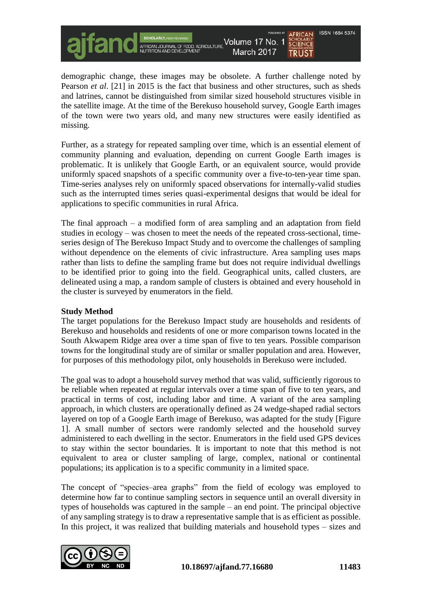demographic change, these images may be obsolete. A further challenge noted by Pearson *et al*. [21] in 2015 is the fact that business and other structures, such as sheds and latrines, cannot be distinguished from similar sized household structures visible in the satellite image. At the time of the Berekuso household survey, Google Earth images of the town were two years old, and many new structures were easily identified as missing.

Volume 17 No. 1

March 2017

SCHOLARLY, PEER REVIEWED<br>AFRICAN JOURNAL OF FOOD, AGRICULTURE<br>NUTRITION AND DEVELOPMENT

Further, as a strategy for repeated sampling over time, which is an essential element of community planning and evaluation, depending on current Google Earth images is problematic. It is unlikely that Google Earth, or an equivalent source, would provide uniformly spaced snapshots of a specific community over a five-to-ten-year time span. Time-series analyses rely on uniformly spaced observations for internally-valid studies such as the interrupted times series quasi-experimental designs that would be ideal for applications to specific communities in rural Africa.

The final approach – a modified form of area sampling and an adaptation from field studies in ecology – was chosen to meet the needs of the repeated cross-sectional, timeseries design of The Berekuso Impact Study and to overcome the challenges of sampling without dependence on the elements of civic infrastructure. Area sampling uses maps rather than lists to define the sampling frame but does not require individual dwellings to be identified prior to going into the field. Geographical units, called clusters, are delineated using a map, a random sample of clusters is obtained and every household in the cluster is surveyed by enumerators in the field.

#### **Study Method**

The target populations for the Berekuso Impact study are households and residents of Berekuso and households and residents of one or more comparison towns located in the South Akwapem Ridge area over a time span of five to ten years. Possible comparison towns for the longitudinal study are of similar or smaller population and area. However, for purposes of this methodology pilot, only households in Berekuso were included.

The goal was to adopt a household survey method that was valid, sufficiently rigorous to be reliable when repeated at regular intervals over a time span of five to ten years, and practical in terms of cost, including labor and time. A variant of the area sampling approach, in which clusters are operationally defined as 24 wedge-shaped radial sectors layered on top of a Google Earth image of Berekuso, was adapted for the study [Figure 1]. A small number of sectors were randomly selected and the household survey administered to each dwelling in the sector. Enumerators in the field used GPS devices to stay within the sector boundaries. It is important to note that this method is not equivalent to area or cluster sampling of large, complex, national or continental populations; its application is to a specific community in a limited space.

The concept of "species–area graphs" from the field of ecology was employed to determine how far to continue sampling sectors in sequence until an overall diversity in types of households was captured in the sample – an end point. The principal objective of any sampling strategy is to draw a representative sample that is as efficient as possible. In this project, it was realized that building materials and household types – sizes and



**ISSN 1684 5374** 

**SCHOLARLY**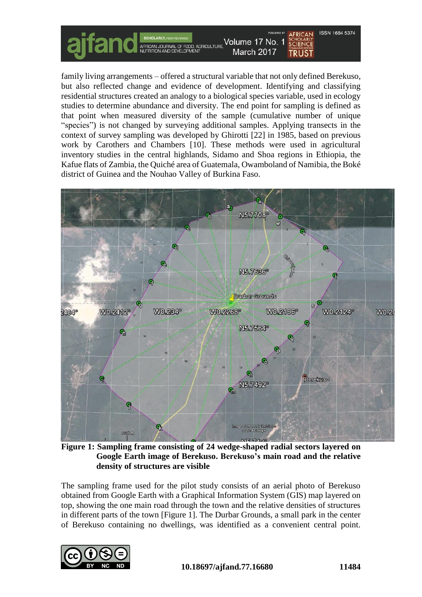

family living arrangements – offered a structural variable that not only defined Berekuso, but also reflected change and evidence of development. Identifying and classifying residential structures created an analogy to a biological species variable, used in ecology studies to determine abundance and diversity. The end point for sampling is defined as that point when measured diversity of the sample (cumulative number of unique "species") is not changed by surveying additional samples. Applying transects in the context of survey sampling was developed by Ghirotti [22] in 1985, based on previous work by Carothers and Chambers [10]. These methods were used in agricultural inventory studies in the central highlands, Sidamo and Shoa regions in Ethiopia, the Kafue flats of Zambia, the Quiché area of Guatemala, Owamboland of Namibia, the Boké district of Guinea and the Nouhao Valley of Burkina Faso.



**Figure 1: Sampling frame consisting of 24 wedge-shaped radial sectors layered on Google Earth image of Berekuso. Berekuso's main road and the relative density of structures are visible**

The sampling frame used for the pilot study consists of an aerial photo of Berekuso obtained from Google Earth with a Graphical Information System (GIS) map layered on top, showing the one main road through the town and the relative densities of structures in different parts of the town [Figure 1]. The Durbar Grounds, a small park in the center of Berekuso containing no dwellings, was identified as a convenient central point.

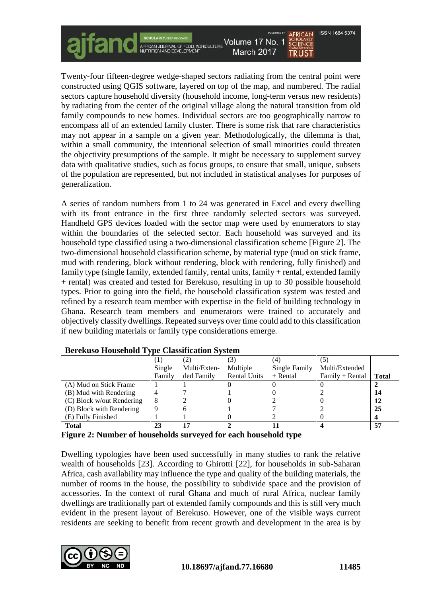Twenty-four fifteen-degree wedge-shaped sectors radiating from the central point were constructed using QGIS software, layered on top of the map, and numbered. The radial sectors capture household diversity (household income, long-term versus new residents) by radiating from the center of the original village along the natural transition from old family compounds to new homes. Individual sectors are too geographically narrow to encompass all of an extended family cluster. There is some risk that rare characteristics may not appear in a sample on a given year. Methodologically, the dilemma is that, within a small community, the intentional selection of small minorities could threaten the objectivity presumptions of the sample. It might be necessary to supplement survey data with qualitative studies, such as focus groups, to ensure that small, unique, subsets of the population are represented, but not included in statistical analyses for purposes of generalization.

SCHOLARLY, PEER REVIEWED<br>AFRICAN JOURNAL OF FOOD, AGRICULTURE<br>NUTRITION AND DEVELOPMENT

Volume 17 No. 1

March 2017

A series of random numbers from 1 to 24 was generated in Excel and every dwelling with its front entrance in the first three randomly selected sectors was surveyed. Handheld GPS devices loaded with the sector map were used by enumerators to stay within the boundaries of the selected sector. Each household was surveyed and its household type classified using a two-dimensional classification scheme [Figure 2]. The two-dimensional household classification scheme, by material type (mud on stick frame, mud with rendering, block without rendering, block with rendering, fully finished) and family type (single family, extended family, rental units, family + rental, extended family + rental) was created and tested for Berekuso, resulting in up to 30 possible household types. Prior to going into the field, the household classification system was tested and refined by a research team member with expertise in the field of building technology in Ghana. Research team members and enumerators were trained to accurately and objectively classify dwellings. Repeated surveys over time could add to this classification if new building materials or family type considerations emerge.

|                                                                           | Single | Multi/Exten- | Multiple            | Single Family | Multi/Extended  |              |
|---------------------------------------------------------------------------|--------|--------------|---------------------|---------------|-----------------|--------------|
|                                                                           | Family | ded Family   | <b>Rental Units</b> | $+$ Rental    | Family + Rental | <b>Total</b> |
| (A) Mud on Stick Frame                                                    |        |              |                     |               |                 |              |
| (B) Mud with Rendering                                                    |        |              |                     |               |                 | 14           |
| (C) Block w/out Rendering                                                 |        |              |                     |               |                 | 12           |
| (D) Block with Rendering                                                  |        |              |                     |               |                 | 25           |
| (E) Fully Finished                                                        |        |              |                     |               |                 |              |
| <b>Total</b>                                                              |        |              |                     |               |                 | 57           |
| $\mathbf{a}$<br>$\overline{\phantom{a}}$<br>$\bullet$ $\bullet$ $\bullet$ | .      | $\mathbf{r}$ | . .                 | .             |                 |              |

# **Berekuso Household Type Classification System**

**Figure 2: Number of households surveyed for each household type**

Dwelling typologies have been used successfully in many studies to rank the relative wealth of households [23]. According to Ghirotti [22], for households in sub-Saharan Africa, cash availability may influence the type and quality of the building materials, the number of rooms in the house, the possibility to subdivide space and the provision of accessories. In the context of rural Ghana and much of rural Africa, nuclear family dwellings are traditionally part of extended family compounds and this is still very much evident in the present layout of Berekuso. However, one of the visible ways current residents are seeking to benefit from recent growth and development in the area is by



**ISSN 1684 5374** 

**SCHOLARLY**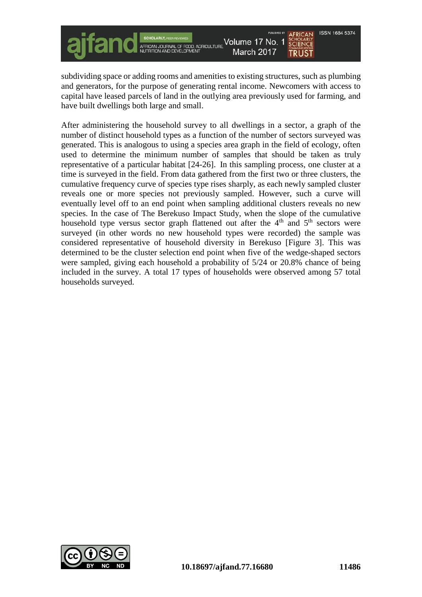**ISSN 1684 5374** Volume 17 No. 1 **SCHOLARLY** AFRICAN JOURNAL OF FOOD, AGRICULTURE March 2017 **TRUST** 

subdividing space or adding rooms and amenities to existing structures, such as plumbing and generators, for the purpose of generating rental income. Newcomers with access to capital have leased parcels of land in the outlying area previously used for farming, and have built dwellings both large and small.

After administering the household survey to all dwellings in a sector, a graph of the number of distinct household types as a function of the number of sectors surveyed was generated. This is analogous to using a species area graph in the field of ecology, often used to determine the minimum number of samples that should be taken as truly representative of a particular habitat [24-26]. In this sampling process, one cluster at a time is surveyed in the field. From data gathered from the first two or three clusters, the cumulative frequency curve of species type rises sharply, as each newly sampled cluster reveals one or more species not previously sampled. However, such a curve will eventually level off to an end point when sampling additional clusters reveals no new species. In the case of The Berekuso Impact Study, when the slope of the cumulative household type versus sector graph flattened out after the  $4<sup>th</sup>$  and  $5<sup>th</sup>$  sectors were surveyed (in other words no new household types were recorded) the sample was considered representative of household diversity in Berekuso [Figure 3]. This was determined to be the cluster selection end point when five of the wedge-shaped sectors were sampled, giving each household a probability of 5/24 or 20.8% chance of being included in the survey. A total 17 types of households were observed among 57 total households surveyed.

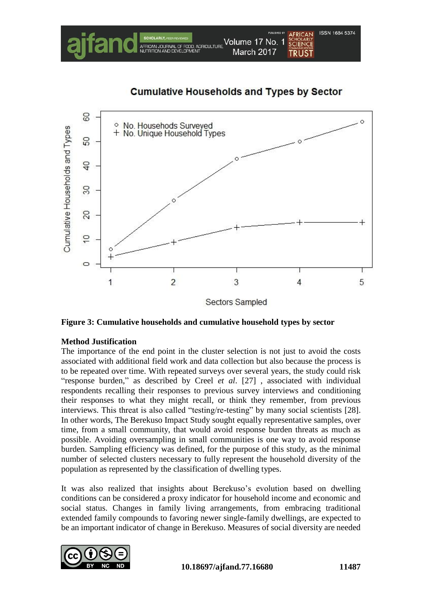

# **Cumulative Households and Types by Sector**



**Figure 3: Cumulative households and cumulative household types by sector**

# **Method Justification**

The importance of the end point in the cluster selection is not just to avoid the costs associated with additional field work and data collection but also because the process is to be repeated over time. With repeated surveys over several years, the study could risk "response burden," as described by Creel *et al*. [27] , associated with individual respondents recalling their responses to previous survey interviews and conditioning their responses to what they might recall, or think they remember, from previous interviews. This threat is also called "testing/re-testing" by many social scientists [28]. In other words, The Berekuso Impact Study sought equally representative samples, over time, from a small community, that would avoid response burden threats as much as possible. Avoiding oversampling in small communities is one way to avoid response burden. Sampling efficiency was defined, for the purpose of this study, as the minimal number of selected clusters necessary to fully represent the household diversity of the population as represented by the classification of dwelling types.

It was also realized that insights about Berekuso's evolution based on dwelling conditions can be considered a proxy indicator for household income and economic and social status. Changes in family living arrangements, from embracing traditional extended family compounds to favoring newer single-family dwellings, are expected to be an important indicator of change in Berekuso. Measures of social diversity are needed

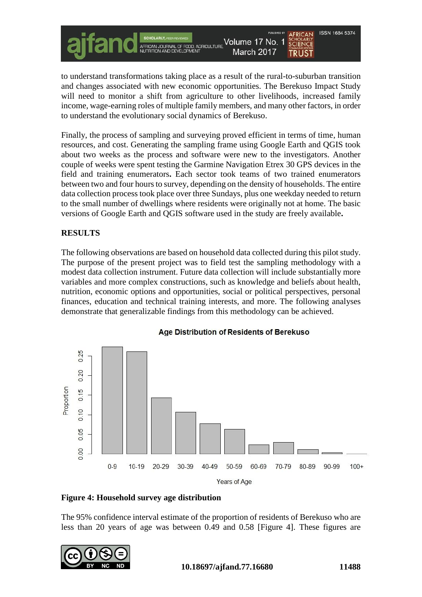to understand transformations taking place as a result of the rural-to-suburban transition and changes associated with new economic opportunities. The Berekuso Impact Study will need to monitor a shift from agriculture to other livelihoods, increased family income, wage-earning roles of multiple family members, and many other factors, in order to understand the evolutionary social dynamics of Berekuso.

AFRICAN JOURNAL OF FOOD, AGRICULTURE<br>NUTRITION AND DEVELOPMENT

Volume 17 No. 1

March 2017

Finally, the process of sampling and surveying proved efficient in terms of time, human resources, and cost. Generating the sampling frame using Google Earth and QGIS took about two weeks as the process and software were new to the investigators. Another couple of weeks were spent testing the Garmine Navigation Etrex 30 GPS devices in the field and training enumerators**.** Each sector took teams of two trained enumerators between two and four hours to survey, depending on the density of households. The entire data collection process took place over three Sundays, plus one weekday needed to return to the small number of dwellings where residents were originally not at home. The basic versions of Google Earth and QGIS software used in the study are freely available**.**

# **RESULTS**

The following observations are based on household data collected during this pilot study. The purpose of the present project was to field test the sampling methodology with a modest data collection instrument. Future data collection will include substantially more variables and more complex constructions, such as knowledge and beliefs about health, nutrition, economic options and opportunities, social or political perspectives, personal finances, education and technical training interests, and more. The following analyses demonstrate that generalizable findings from this methodology can be achieved.



#### Age Distribution of Residents of Berekuso

**Figure 4: Household survey age distribution**

The 95% confidence interval estimate of the proportion of residents of Berekuso who are less than 20 years of age was between 0.49 and 0.58 [Figure 4]. These figures are



**ISSN 1684 5374** 

**SCHOLARLY**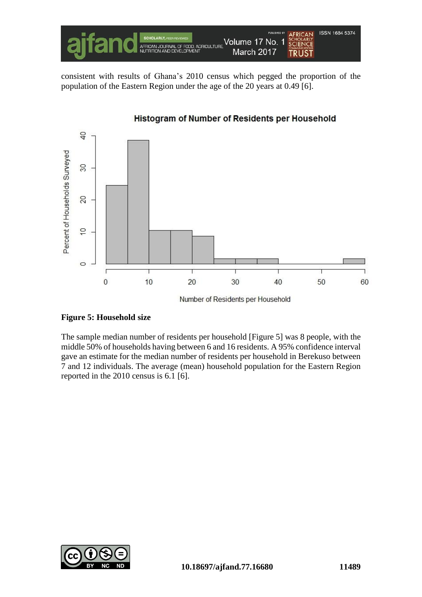

consistent with results of Ghana's 2010 census which pegged the proportion of the population of the Eastern Region under the age of the 20 years at 0.49 [6].



Number of Residents per Household

# **Figure 5: Household size**

The sample median number of residents per household [Figure 5] was 8 people, with the middle 50% of households having between 6 and 16 residents. A 95% confidence interval gave an estimate for the median number of residents per household in Berekuso between 7 and 12 individuals. The average (mean) household population for the Eastern Region reported in the 2010 census is 6.1 [6].

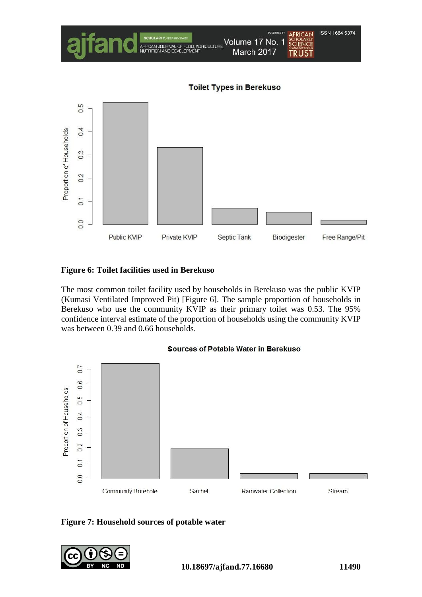

# **Figure 6: Toilet facilities used in Berekuso**

The most common toilet facility used by households in Berekuso was the public KVIP (Kumasi Ventilated Improved Pit) [Figure 6]. The sample proportion of households in Berekuso who use the community KVIP as their primary toilet was 0.53. The 95% confidence interval estimate of the proportion of households using the community KVIP was between 0.39 and 0.66 households.







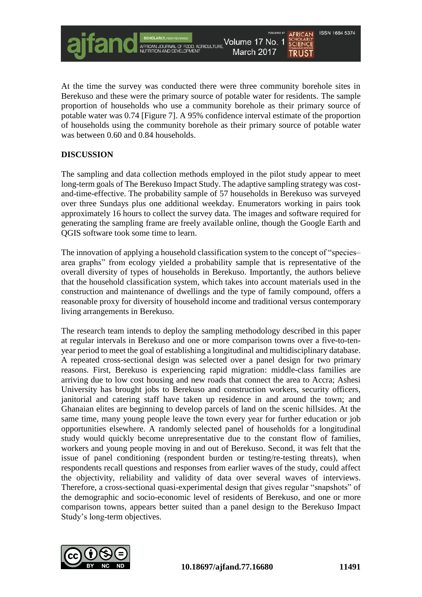

At the time the survey was conducted there were three community borehole sites in Berekuso and these were the primary source of potable water for residents. The sample proportion of households who use a community borehole as their primary source of potable water was 0.74 [Figure 7]. A 95% confidence interval estimate of the proportion of households using the community borehole as their primary source of potable water was between 0.60 and 0.84 households.

# **DISCUSSION**

The sampling and data collection methods employed in the pilot study appear to meet long-term goals of The Berekuso Impact Study. The adaptive sampling strategy was costand-time-effective. The probability sample of 57 households in Berekuso was surveyed over three Sundays plus one additional weekday. Enumerators working in pairs took approximately 16 hours to collect the survey data. The images and software required for generating the sampling frame are freely available online, though the Google Earth and QGIS software took some time to learn.

The innovation of applying a household classification system to the concept of "species– area graphs" from ecology yielded a probability sample that is representative of the overall diversity of types of households in Berekuso. Importantly, the authors believe that the household classification system, which takes into account materials used in the construction and maintenance of dwellings and the type of family compound, offers a reasonable proxy for diversity of household income and traditional versus contemporary living arrangements in Berekuso.

The research team intends to deploy the sampling methodology described in this paper at regular intervals in Berekuso and one or more comparison towns over a five-to-tenyear period to meet the goal of establishing a longitudinal and multidisciplinary database. A repeated cross-sectional design was selected over a panel design for two primary reasons. First, Berekuso is experiencing rapid migration: middle-class families are arriving due to low cost housing and new roads that connect the area to Accra; Ashesi University has brought jobs to Berekuso and construction workers, security officers, janitorial and catering staff have taken up residence in and around the town; and Ghanaian elites are beginning to develop parcels of land on the scenic hillsides. At the same time, many young people leave the town every year for further education or job opportunities elsewhere. A randomly selected panel of households for a longitudinal study would quickly become unrepresentative due to the constant flow of families, workers and young people moving in and out of Berekuso. Second, it was felt that the issue of panel conditioning (respondent burden or testing/re-testing threats), when respondents recall questions and responses from earlier waves of the study, could affect the objectivity, reliability and validity of data over several waves of interviews. Therefore, a cross-sectional quasi-experimental design that gives regular "snapshots" of the demographic and socio-economic level of residents of Berekuso, and one or more comparison towns, appears better suited than a panel design to the Berekuso Impact Study's long-term objectives.

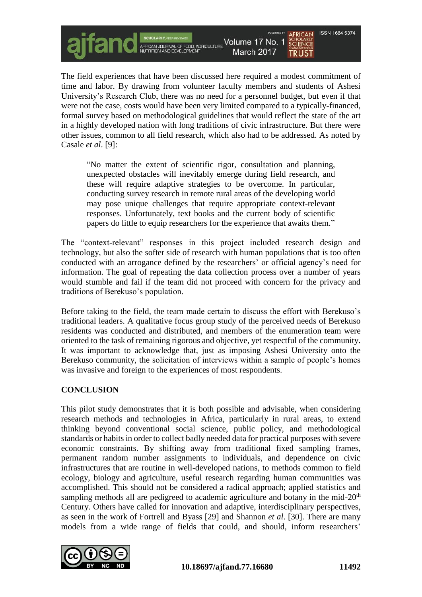The field experiences that have been discussed here required a modest commitment of time and labor. By drawing from volunteer faculty members and students of Ashesi University's Research Club, there was no need for a personnel budget, but even if that were not the case, costs would have been very limited compared to a typically-financed, formal survey based on methodological guidelines that would reflect the state of the art in a highly developed nation with long traditions of civic infrastructure. But there were other issues, common to all field research, which also had to be addressed. As noted by Casale *et al*. [9]:

SCHOLARLY, PEER REVIEWED<br>AFRICAN JOURNAL OF FOOD, AGRICULTURE<br>NUTRITION AND DEVELOPMENT

Volume 17 No. 1

March 2017

"No matter the extent of scientific rigor, consultation and planning, unexpected obstacles will inevitably emerge during field research, and these will require adaptive strategies to be overcome. In particular, conducting survey research in remote rural areas of the developing world may pose unique challenges that require appropriate context-relevant responses. Unfortunately, text books and the current body of scientific papers do little to equip researchers for the experience that awaits them."

The "context-relevant" responses in this project included research design and technology, but also the softer side of research with human populations that is too often conducted with an arrogance defined by the researchers' or official agency's need for information. The goal of repeating the data collection process over a number of years would stumble and fail if the team did not proceed with concern for the privacy and traditions of Berekuso's population.

Before taking to the field, the team made certain to discuss the effort with Berekuso's traditional leaders. A qualitative focus group study of the perceived needs of Berekuso residents was conducted and distributed, and members of the enumeration team were oriented to the task of remaining rigorous and objective, yet respectful of the community. It was important to acknowledge that, just as imposing Ashesi University onto the Berekuso community, the solicitation of interviews within a sample of people's homes was invasive and foreign to the experiences of most respondents.

# **CONCLUSION**

This pilot study demonstrates that it is both possible and advisable, when considering research methods and technologies in Africa, particularly in rural areas, to extend thinking beyond conventional social science, public policy, and methodological standards or habits in order to collect badly needed data for practical purposes with severe economic constraints. By shifting away from traditional fixed sampling frames, permanent random number assignments to individuals, and dependence on civic infrastructures that are routine in well-developed nations, to methods common to field ecology, biology and agriculture, useful research regarding human communities was accomplished. This should not be considered a radical approach; applied statistics and sampling methods all are pedigreed to academic agriculture and botany in the mid- $20<sup>th</sup>$ Century. Others have called for innovation and adaptive, interdisciplinary perspectives, as seen in the work of Fortrell and Byass [29] and Shannon *et al*. [30]. There are many models from a wide range of fields that could, and should, inform researchers'



**ISSN 1684 5374** 

**SCHOLARLY**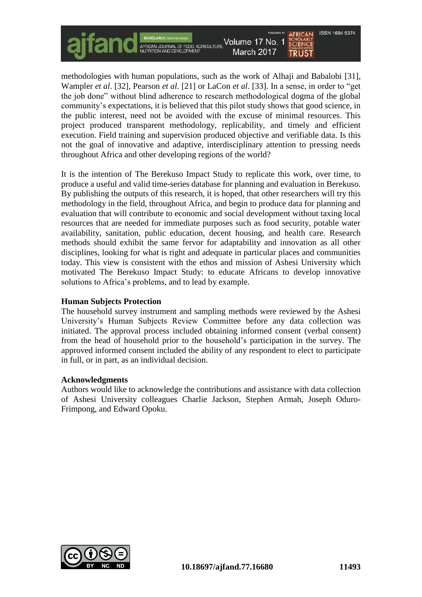methodologies with human populations, such as the work of Alhaji and Babalobi [31], Wampler *et al*. [32], Pearson *et al*. [21] or LaCon *et al*. [33]. In a sense, in order to "get the job done" without blind adherence to research methodological dogma of the global community's expectations, it is believed that this pilot study shows that good science, in the public interest, need not be avoided with the excuse of minimal resources. This project produced transparent methodology, replicability, and timely and efficient execution. Field training and supervision produced objective and verifiable data. Is this not the goal of innovative and adaptive, interdisciplinary attention to pressing needs throughout Africa and other developing regions of the world?

Volume 17 No. 1

March 2017

SCHOLARLY, PEER REVIEWED<br>AFRICAN JOURNAL OF FOOD, AGRICULTURE<br>NUTRITION AND DEVELOPMENT

It is the intention of The Berekuso Impact Study to replicate this work, over time, to produce a useful and valid time-series database for planning and evaluation in Berekuso. By publishing the outputs of this research, it is hoped, that other researchers will try this methodology in the field, throughout Africa, and begin to produce data for planning and evaluation that will contribute to economic and social development without taxing local resources that are needed for immediate purposes such as food security, potable water availability, sanitation, public education, decent housing, and health care. Research methods should exhibit the same fervor for adaptability and innovation as all other disciplines, looking for what is right and adequate in particular places and communities today. This view is consistent with the ethos and mission of Ashesi University which motivated The Berekuso Impact Study: to educate Africans to develop innovative solutions to Africa's problems, and to lead by example.

#### **Human Subjects Protection**

The household survey instrument and sampling methods were reviewed by the Ashesi University's Human Subjects Review Committee before any data collection was initiated. The approval process included obtaining informed consent (verbal consent) from the head of household prior to the household's participation in the survey. The approved informed consent included the ability of any respondent to elect to participate in full, or in part, as an individual decision.

#### **Acknowledgments**

Authors would like to acknowledge the contributions and assistance with data collection of Ashesi University colleagues Charlie Jackson, Stephen Armah, Joseph Oduro-Frimpong, and Edward Opoku.



**ISSN 1684 5374** 

**SCIENCE**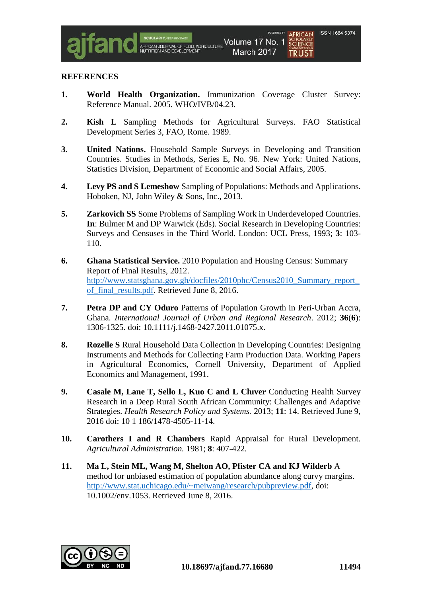#### **REFERENCES**

- **1. World Health Organization.** Immunization Coverage Cluster Survey: Reference Manual. 2005. WHO/IVB/04.23.
- **2. Kish L** Sampling Methods for Agricultural Surveys. FAO Statistical Development Series 3, FAO, Rome. 1989.
- **3. United Nations.** Household Sample Surveys in Developing and Transition Countries. Studies in Methods, Series E, No. 96. New York: United Nations, Statistics Division, Department of Economic and Social Affairs, 2005.
- **4. Levy PS and S Lemeshow** Sampling of Populations: Methods and Applications. Hoboken, NJ, John Wiley & Sons, Inc., 2013.
- **5. Zarkovich SS** Some Problems of Sampling Work in Underdeveloped Countries. **In**: Bulmer M and DP Warwick (Eds). Social Research in Developing Countries: Surveys and Censuses in the Third World. London: UCL Press, 1993; **3**: 103- 110.
- **6. Ghana Statistical Service.** 2010 Population and Housing Census: Summary Report of Final Results, 2012. http://www.statsghana.gov.gh/docfiles/2010phc/Census2010\_Summary\_report of final results.pdf. Retrieved June 8, 2016.
- **7. Petra DP and CY Oduro** Patterns of Population Growth in Peri-Urban Accra, Ghana. *International Journal of Urban and Regional Research*. 2012; **36**(**6**): 1306-1325. doi: 10.1111/j.1468-2427.2011.01075.x.
- **8. Rozelle S** Rural Household Data Collection in Developing Countries: Designing Instruments and Methods for Collecting Farm Production Data. Working Papers in Agricultural Economics, Cornell University, Department of Applied Economics and Management, 1991.
- **9.** Casale M. Lane T. Sello L. Kuo C and L Cluver Conducting Health Survey Research in a Deep Rural South African Community: Challenges and Adaptive Strategies. *Health Research Policy and Systems.* 2013; **11**: 14. Retrieved June 9, 2016 doi: 10 1 186/1478-4505-11-14.
- **10. Carothers I and R Chambers** Rapid Appraisal for Rural Development. *Agricultural Administration.* 1981; **8**: 407-422*.*
- **11. Ma L, Stein ML, Wang M, Shelton AO, Pfister CA and KJ Wilderb** A method for unbiased estimation of population abundance along curvy margins. [http://www.stat.uchicago.edu/~meiwang/research/pubpreview.pdf,](http://www.stat.uchicago.edu/~meiwang/research/pubpreview.pdf) doi: 10.1002/env.1053. Retrieved June 8, 2016.

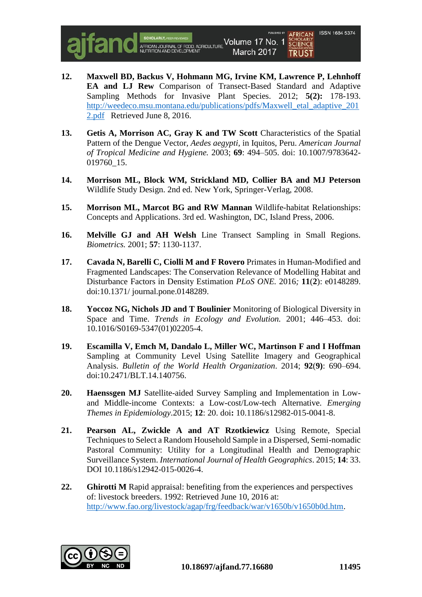

- **12. Maxwell BD, Backus V, Hohmann MG, Irvine KM, Lawrence P, Lehnhoff EA and LJ Rew** Comparison of Transect-Based Standard and Adaptive Sampling Methods for Invasive Plant Species. 2012; **5(2):** 178-193. [http://weedeco.msu.montana.edu/publications/pdfs/Maxwell\\_etal\\_adaptive\\_201](http://weedeco.msu.montana.edu/publications/pdfs/Maxwell_etal_adaptive_2012.pdf) [2.pdf](http://weedeco.msu.montana.edu/publications/pdfs/Maxwell_etal_adaptive_2012.pdf) Retrieved June 8, 2016.
- **13. Getis A, Morrison AC, Gray K and TW Scott** Characteristics of the Spatial Pattern of the Dengue Vector, *Aedes aegypti*, in Iquitos, Peru. *American Journal of Tropical Medicine and Hygiene.* 2003; **69**: 494–505. doi: 10.1007/9783642- 019760\_15.
- **14. Morrison ML, Block WM, Strickland MD, Collier BA and MJ Peterson** Wildlife Study Design. 2nd ed. New York, Springer-Verlag, 2008.
- **15. Morrison ML, Marcot BG and RW Mannan** Wildlife-habitat Relationships: Concepts and Applications. 3rd ed. Washington, DC, Island Press, 2006.
- **16. Melville GJ and AH Welsh** Line Transect Sampling in Small Regions. *Biometrics.* 2001; **57**: 1130-1137.
- **17. Cavada N, Barelli C, Ciolli M and F Rovero** Primates in Human-Modified and Fragmented Landscapes: The Conservation Relevance of Modelling Habitat and Disturbance Factors in Density Estimation *PLoS ONE.* 2016*;* **11**(**2**): e0148289. doi:10.1371/ journal.pone.0148289.
- **18. Yoccoz NG, Nichols JD and T Boulinier** Monitoring of Biological Diversity in Space and Time. *Trends in Ecology and Evolution.* 2001; 446–453. doi: 10.1016/S0169-5347(01)02205-4.
- **19. Escamilla V, Emch M, Dandalo L, Miller WC, Martinson F and I Hoffman**  Sampling at Community Level Using Satellite Imagery and Geographical Analysis. *Bulletin of the World Health Organization*. 2014; **92**(**9)**: 690–694. doi:10.2471/BLT.14.140756.
- **20. Haenssgen MJ** Satellite-aided Survey Sampling and Implementation in Lowand Middle-income Contexts: a Low-cost/Low-tech Alternative. *Emerging Themes in Epidemiology*.2015; **12**: 20. doi**:** 10.1186/s12982-015-0041-8.
- **21. Pearson AL, Zwickle A and AT Rzotkiewicz** Using Remote, Special Techniques to Select a Random Household Sample in a Dispersed, Semi-nomadic Pastoral Community: Utility for a Longitudinal Health and Demographic Surveillance System. *International Journal of Health Geographics*. 2015; **14**: 33. DOI 10.1186/s12942-015-0026-4.
- **22. Ghirotti M** Rapid appraisal: benefiting from the experiences and perspectives of: livestock breeders. 1992: Retrieved June 10, 2016 at: [http://www.fao.org/livestock/agap/frg/feedback/war/v1650b/v1650b0d.htm.](http://www.fao.org/livestock/agap/frg/feedback/war/v1650b/v1650b0d.htm)